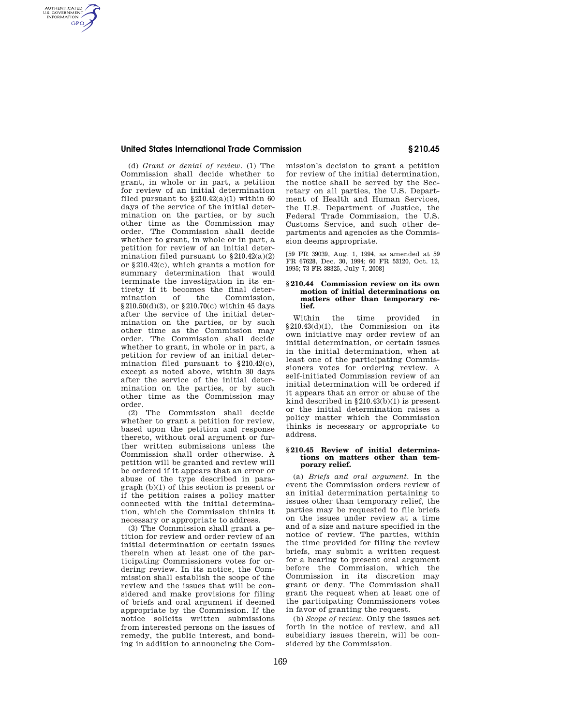# **United States International Trade Commission § 210.45**

AUTHENTICATED<br>U.S. GOVERNMENT<br>INFORMATION **GPO** 

> (d) *Grant or denial of review.* (1) The Commission shall decide whether to grant, in whole or in part, a petition for review of an initial determination filed pursuant to  $$210.42(a)(1)$  within 60 days of the service of the initial determination on the parties, or by such other time as the Commission may order. The Commission shall decide whether to grant, in whole or in part, a petition for review of an initial determination filed pursuant to  $§210.42(a)(2)$ or §210.42(c), which grants a motion for summary determination that would terminate the investigation in its entirety if it becomes the final deter-<br>mination of the Commission, Commission, §210.50(d)(3), or §210.70(c) within 45 days after the service of the initial determination on the parties, or by such other time as the Commission may order. The Commission shall decide whether to grant, in whole or in part, a petition for review of an initial determination filed pursuant to §210.42(c), except as noted above, within 30 days after the service of the initial determination on the parties, or by such other time as the Commission may order.

> (2) The Commission shall decide whether to grant a petition for review, based upon the petition and response thereto, without oral argument or further written submissions unless the Commission shall order otherwise. A petition will be granted and review will be ordered if it appears that an error or abuse of the type described in paragraph (b)(1) of this section is present or if the petition raises a policy matter connected with the initial determination, which the Commission thinks it necessary or appropriate to address.

> (3) The Commission shall grant a petition for review and order review of an initial determination or certain issues therein when at least one of the participating Commissioners votes for ordering review. In its notice, the Commission shall establish the scope of the review and the issues that will be considered and make provisions for filing of briefs and oral argument if deemed appropriate by the Commission. If the notice solicits written submissions from interested persons on the issues of remedy, the public interest, and bonding in addition to announcing the Com

mission's decision to grant a petition for review of the initial determination, the notice shall be served by the Secretary on all parties, the U.S. Department of Health and Human Services, the U.S. Department of Justice, the Federal Trade Commission, the U.S. Customs Service, and such other departments and agencies as the Commission deems appropriate.

[59 FR 39039, Aug. 1, 1994, as amended at 59 FR 67628, Dec. 30, 1994; 60 FR 53120, Oct. 12, 1995; 73 FR 38325, July 7, 2008]

#### **§ 210.44 Commission review on its own motion of initial determinations on matters other than temporary relief.**

Within the time provided in §210.43(d)(1), the Commission on its own initiative may order review of an initial determination, or certain issues in the initial determination, when at least one of the participating Commissioners votes for ordering review. A self-initiated Commission review of an initial determination will be ordered if it appears that an error or abuse of the kind described in  $\S 210.43(b)(1)$  is present or the initial determination raises a policy matter which the Commission thinks is necessary or appropriate to address.

### **§ 210.45 Review of initial determinations on matters other than temporary relief.**

(a) *Briefs and oral argument.* In the event the Commission orders review of an initial determination pertaining to issues other than temporary relief, the parties may be requested to file briefs on the issues under review at a time and of a size and nature specified in the notice of review. The parties, within the time provided for filing the review briefs, may submit a written request for a hearing to present oral argument before the Commission, which the Commission in its discretion may grant or deny. The Commission shall grant the request when at least one of the participating Commissioners votes in favor of granting the request.

(b) *Scope of review.* Only the issues set forth in the notice of review, and all subsidiary issues therein, will be considered by the Commission.